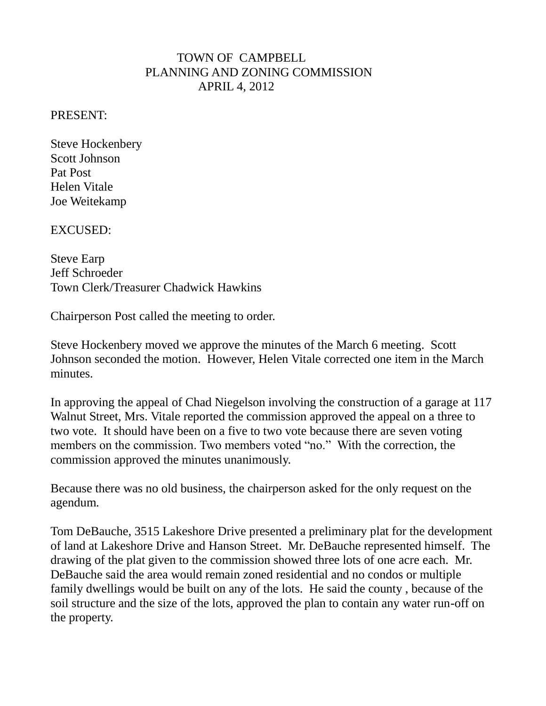## TOWN OF CAMPBELL PLANNING AND ZONING COMMISSION APRIL 4, 2012

## PRESENT:

Steve Hockenbery Scott Johnson Pat Post Helen Vitale Joe Weitekamp

EXCUSED:

Steve Earp Jeff Schroeder Town Clerk/Treasurer Chadwick Hawkins

Chairperson Post called the meeting to order.

Steve Hockenbery moved we approve the minutes of the March 6 meeting. Scott Johnson seconded the motion. However, Helen Vitale corrected one item in the March minutes.

In approving the appeal of Chad Niegelson involving the construction of a garage at 117 Walnut Street, Mrs. Vitale reported the commission approved the appeal on a three to two vote. It should have been on a five to two vote because there are seven voting members on the commission. Two members voted "no." With the correction, the commission approved the minutes unanimously.

Because there was no old business, the chairperson asked for the only request on the agendum.

Tom DeBauche, 3515 Lakeshore Drive presented a preliminary plat for the development of land at Lakeshore Drive and Hanson Street. Mr. DeBauche represented himself. The drawing of the plat given to the commission showed three lots of one acre each. Mr. DeBauche said the area would remain zoned residential and no condos or multiple family dwellings would be built on any of the lots. He said the county , because of the soil structure and the size of the lots, approved the plan to contain any water run-off on the property.